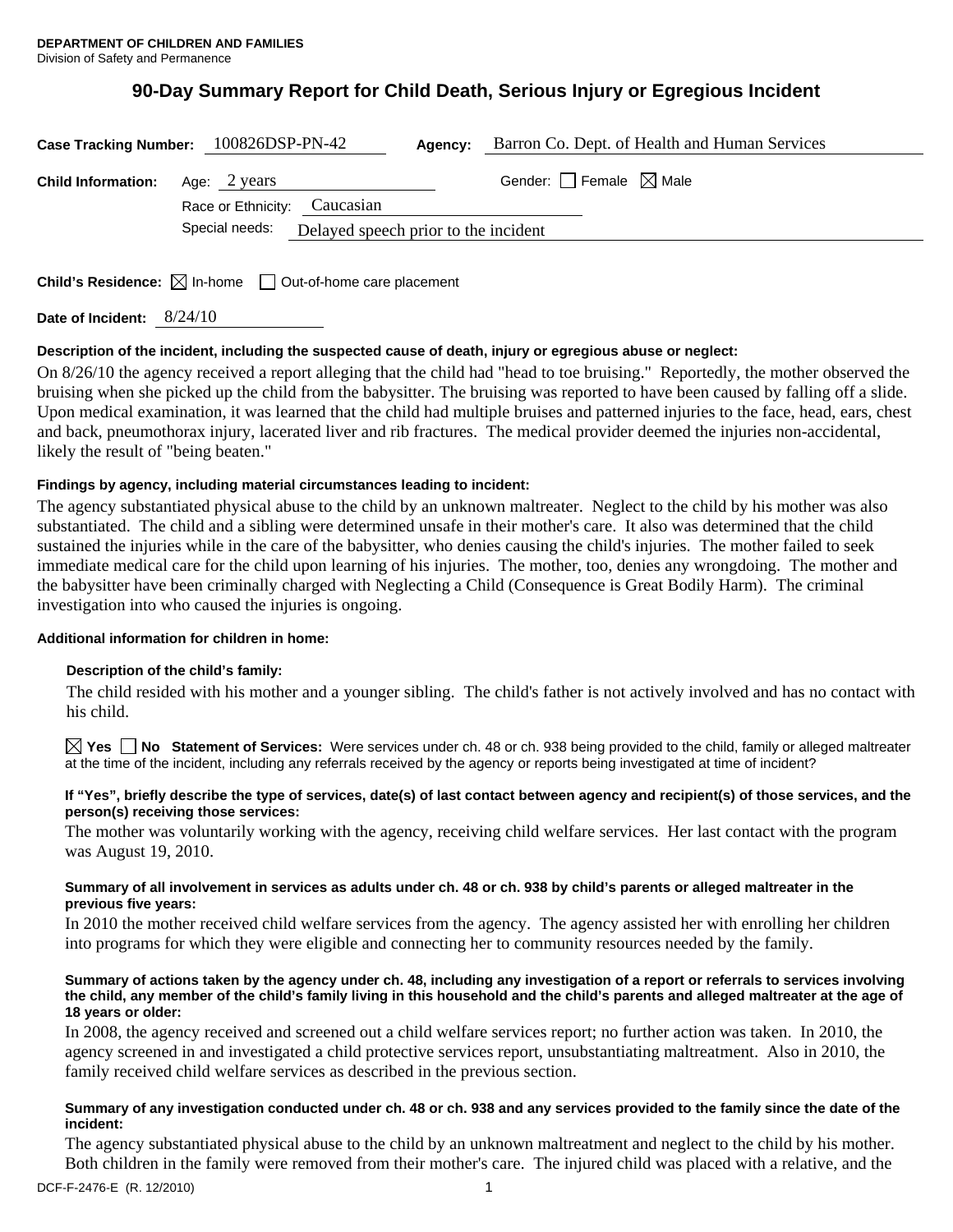# **90-Day Summary Report for Child Death, Serious Injury or Egregious Incident**

| Case Tracking Number: 100826DSP-PN-42 |                                              |                                                     | Agency: | Barron Co. Dept. of Health and Human Services |  |
|---------------------------------------|----------------------------------------------|-----------------------------------------------------|---------|-----------------------------------------------|--|
| <b>Child Information:</b>             | Age: 2 years<br>Race or Ethnicity: Caucasian |                                                     |         | Gender: $\Box$ Female $\boxtimes$ Male        |  |
|                                       |                                              | Special needs: Delayed speech prior to the incident |         |                                               |  |

**Child's Residence:**  $\boxtimes$  In-home  $\Box$  Out-of-home care placement

**Date of Incident:** 8/24/10

# **Description of the incident, including the suspected cause of death, injury or egregious abuse or neglect:**

On 8/26/10 the agency received a report alleging that the child had "head to toe bruising." Reportedly, the mother observed the bruising when she picked up the child from the babysitter. The bruising was reported to have been caused by falling off a slide. Upon medical examination, it was learned that the child had multiple bruises and patterned injuries to the face, head, ears, chest and back, pneumothorax injury, lacerated liver and rib fractures. The medical provider deemed the injuries non-accidental, likely the result of "being beaten."

# **Findings by agency, including material circumstances leading to incident:**

The agency substantiated physical abuse to the child by an unknown maltreater. Neglect to the child by his mother was also substantiated. The child and a sibling were determined unsafe in their mother's care. It also was determined that the child sustained the injuries while in the care of the babysitter, who denies causing the child's injuries. The mother failed to seek immediate medical care for the child upon learning of his injuries. The mother, too, denies any wrongdoing. The mother and the babysitter have been criminally charged with Neglecting a Child (Consequence is Great Bodily Harm). The criminal investigation into who caused the injuries is ongoing.

# **Additional information for children in home:**

# **Description of the child's family:**

The child resided with his mother and a younger sibling. The child's father is not actively involved and has no contact with his child.

**Yes No Statement of Services:** Were services under ch. 48 or ch. 938 being provided to the child, family or alleged maltreater at the time of the incident, including any referrals received by the agency or reports being investigated at time of incident?

## **If "Yes", briefly describe the type of services, date(s) of last contact between agency and recipient(s) of those services, and the person(s) receiving those services:**

The mother was voluntarily working with the agency, receiving child welfare services. Her last contact with the program was August 19, 2010.

## **Summary of all involvement in services as adults under ch. 48 or ch. 938 by child's parents or alleged maltreater in the previous five years:**

In 2010 the mother received child welfare services from the agency. The agency assisted her with enrolling her children into programs for which they were eligible and connecting her to community resources needed by the family.

#### **Summary of actions taken by the agency under ch. 48, including any investigation of a report or referrals to services involving the child, any member of the child's family living in this household and the child's parents and alleged maltreater at the age of 18 years or older:**

In 2008, the agency received and screened out a child welfare services report; no further action was taken. In 2010, the agency screened in and investigated a child protective services report, unsubstantiating maltreatment. Also in 2010, the family received child welfare services as described in the previous section.

## **Summary of any investigation conducted under ch. 48 or ch. 938 and any services provided to the family since the date of the incident:**

The agency substantiated physical abuse to the child by an unknown maltreatment and neglect to the child by his mother. Both children in the family were removed from their mother's care. The injured child was placed with a relative, and the